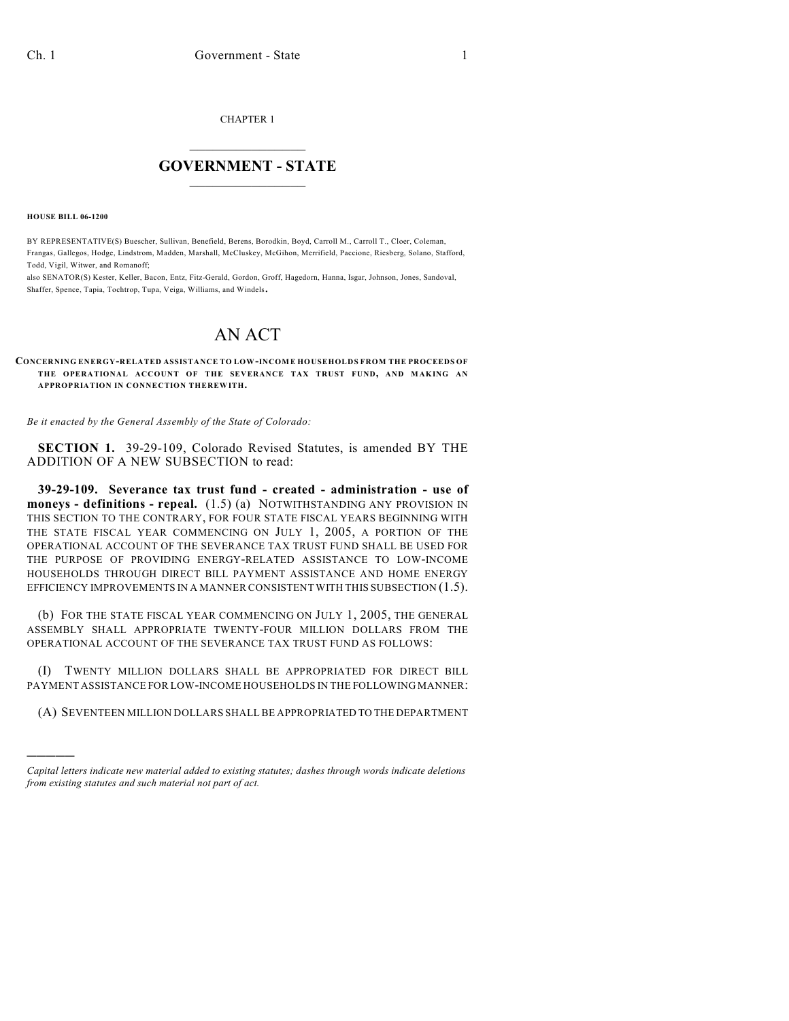CHAPTER 1

## $\mathcal{L}_\text{max}$  . The set of the set of the set of the set of the set of the set of the set of the set of the set of the set of the set of the set of the set of the set of the set of the set of the set of the set of the set **GOVERNMENT - STATE**  $\_$   $\_$   $\_$   $\_$   $\_$   $\_$   $\_$   $\_$   $\_$

**HOUSE BILL 06-1200**

)))))

BY REPRESENTATIVE(S) Buescher, Sullivan, Benefield, Berens, Borodkin, Boyd, Carroll M., Carroll T., Cloer, Coleman, Frangas, Gallegos, Hodge, Lindstrom, Madden, Marshall, McCluskey, McGihon, Merrifield, Paccione, Riesberg, Solano, Stafford, Todd, Vigil, Witwer, and Romanoff;

also SENATOR(S) Kester, Keller, Bacon, Entz, Fitz-Gerald, Gordon, Groff, Hagedorn, Hanna, Isgar, Johnson, Jones, Sandoval, Shaffer, Spence, Tapia, Tochtrop, Tupa, Veiga, Williams, and Windels.

## AN ACT

**CONCERNING ENERGY-RELATED ASSISTANCE TO LOW-INCOME HOUSEHOLDS FROM THE PROCEEDS OF THE OPERATIONAL ACCOUNT OF THE SEVERANCE TAX TRUST FUND, AND MAKING AN APPROPRIATION IN CONNECTION THEREWITH.**

*Be it enacted by the General Assembly of the State of Colorado:*

**SECTION 1.** 39-29-109, Colorado Revised Statutes, is amended BY THE ADDITION OF A NEW SUBSECTION to read:

**39-29-109. Severance tax trust fund - created - administration - use of moneys - definitions - repeal.** (1.5) (a) NOTWITHSTANDING ANY PROVISION IN THIS SECTION TO THE CONTRARY, FOR FOUR STATE FISCAL YEARS BEGINNING WITH THE STATE FISCAL YEAR COMMENCING ON JULY 1, 2005, A PORTION OF THE OPERATIONAL ACCOUNT OF THE SEVERANCE TAX TRUST FUND SHALL BE USED FOR THE PURPOSE OF PROVIDING ENERGY-RELATED ASSISTANCE TO LOW-INCOME HOUSEHOLDS THROUGH DIRECT BILL PAYMENT ASSISTANCE AND HOME ENERGY EFFICIENCY IMPROVEMENTS IN A MANNER CONSISTENT WITH THIS SUBSECTION (1.5).

(b) FOR THE STATE FISCAL YEAR COMMENCING ON JULY 1, 2005, THE GENERAL ASSEMBLY SHALL APPROPRIATE TWENTY-FOUR MILLION DOLLARS FROM THE OPERATIONAL ACCOUNT OF THE SEVERANCE TAX TRUST FUND AS FOLLOWS:

(I) TWENTY MILLION DOLLARS SHALL BE APPROPRIATED FOR DIRECT BILL PAYMENT ASSISTANCE FOR LOW-INCOME HOUSEHOLDS IN THE FOLLOWING MANNER:

(A) SEVENTEEN MILLION DOLLARS SHALL BE APPROPRIATED TO THE DEPARTMENT

*Capital letters indicate new material added to existing statutes; dashes through words indicate deletions from existing statutes and such material not part of act.*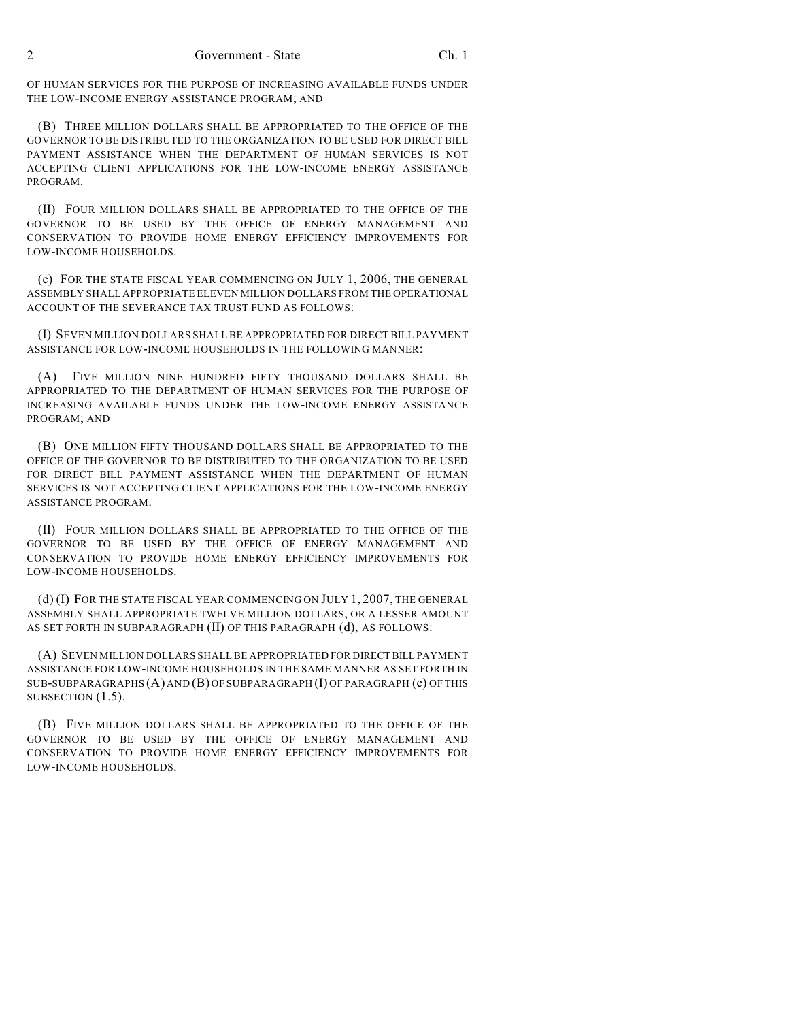2 Government - State Ch. 1

OF HUMAN SERVICES FOR THE PURPOSE OF INCREASING AVAILABLE FUNDS UNDER THE LOW-INCOME ENERGY ASSISTANCE PROGRAM; AND

(B) THREE MILLION DOLLARS SHALL BE APPROPRIATED TO THE OFFICE OF THE GOVERNOR TO BE DISTRIBUTED TO THE ORGANIZATION TO BE USED FOR DIRECT BILL PAYMENT ASSISTANCE WHEN THE DEPARTMENT OF HUMAN SERVICES IS NOT ACCEPTING CLIENT APPLICATIONS FOR THE LOW-INCOME ENERGY ASSISTANCE PROGRAM.

(II) FOUR MILLION DOLLARS SHALL BE APPROPRIATED TO THE OFFICE OF THE GOVERNOR TO BE USED BY THE OFFICE OF ENERGY MANAGEMENT AND CONSERVATION TO PROVIDE HOME ENERGY EFFICIENCY IMPROVEMENTS FOR LOW-INCOME HOUSEHOLDS.

(c) FOR THE STATE FISCAL YEAR COMMENCING ON JULY 1, 2006, THE GENERAL ASSEMBLY SHALL APPROPRIATE ELEVEN MILLION DOLLARS FROM THE OPERATIONAL ACCOUNT OF THE SEVERANCE TAX TRUST FUND AS FOLLOWS:

(I) SEVEN MILLION DOLLARS SHALL BE APPROPRIATED FOR DIRECT BILL PAYMENT ASSISTANCE FOR LOW-INCOME HOUSEHOLDS IN THE FOLLOWING MANNER:

(A) FIVE MILLION NINE HUNDRED FIFTY THOUSAND DOLLARS SHALL BE APPROPRIATED TO THE DEPARTMENT OF HUMAN SERVICES FOR THE PURPOSE OF INCREASING AVAILABLE FUNDS UNDER THE LOW-INCOME ENERGY ASSISTANCE PROGRAM; AND

(B) ONE MILLION FIFTY THOUSAND DOLLARS SHALL BE APPROPRIATED TO THE OFFICE OF THE GOVERNOR TO BE DISTRIBUTED TO THE ORGANIZATION TO BE USED FOR DIRECT BILL PAYMENT ASSISTANCE WHEN THE DEPARTMENT OF HUMAN SERVICES IS NOT ACCEPTING CLIENT APPLICATIONS FOR THE LOW-INCOME ENERGY ASSISTANCE PROGRAM.

(II) FOUR MILLION DOLLARS SHALL BE APPROPRIATED TO THE OFFICE OF THE GOVERNOR TO BE USED BY THE OFFICE OF ENERGY MANAGEMENT AND CONSERVATION TO PROVIDE HOME ENERGY EFFICIENCY IMPROVEMENTS FOR LOW-INCOME HOUSEHOLDS.

(d) (I) FOR THE STATE FISCAL YEAR COMMENCING ON JULY 1, 2007, THE GENERAL ASSEMBLY SHALL APPROPRIATE TWELVE MILLION DOLLARS, OR A LESSER AMOUNT AS SET FORTH IN SUBPARAGRAPH (II) OF THIS PARAGRAPH (d), AS FOLLOWS:

(A) SEVEN MILLION DOLLARS SHALL BE APPROPRIATED FOR DIRECT BILL PAYMENT ASSISTANCE FOR LOW-INCOME HOUSEHOLDS IN THE SAME MANNER AS SET FORTH IN SUB-SUBPARAGRAPHS (A) AND (B) OF SUBPARAGRAPH (I) OF PARAGRAPH (c) OF THIS SUBSECTION  $(1.5)$ .

(B) FIVE MILLION DOLLARS SHALL BE APPROPRIATED TO THE OFFICE OF THE GOVERNOR TO BE USED BY THE OFFICE OF ENERGY MANAGEMENT AND CONSERVATION TO PROVIDE HOME ENERGY EFFICIENCY IMPROVEMENTS FOR LOW-INCOME HOUSEHOLDS.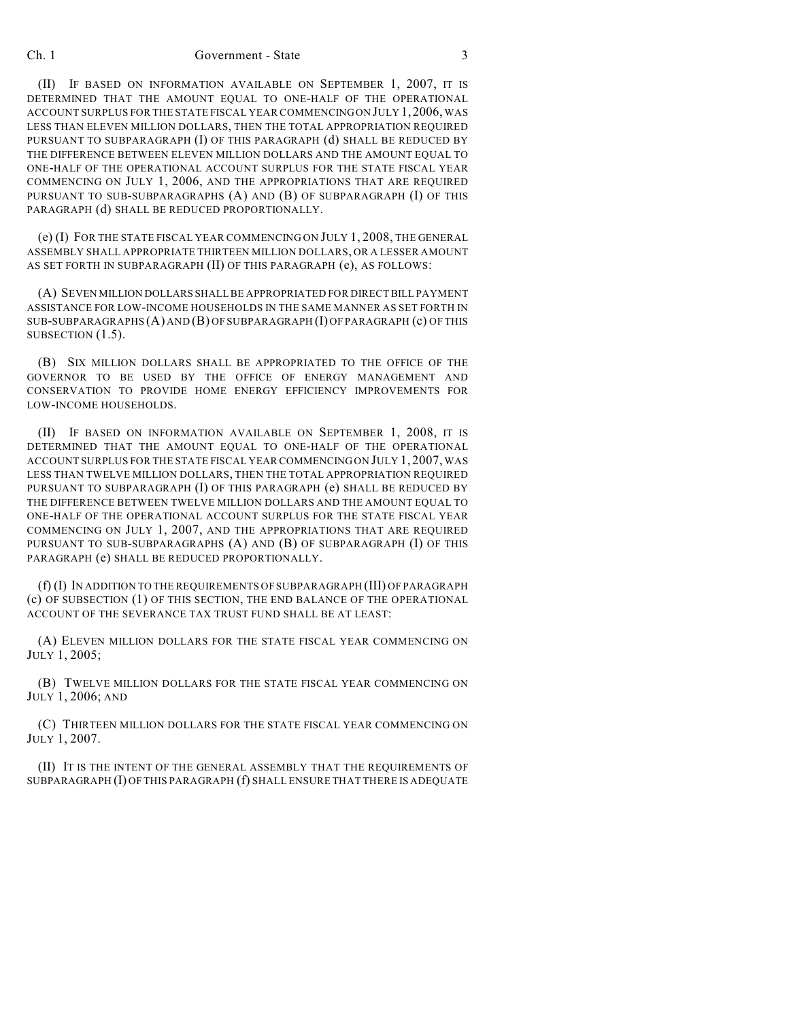## Ch. 1 Government - State 3

(II) IF BASED ON INFORMATION AVAILABLE ON SEPTEMBER 1, 2007, IT IS DETERMINED THAT THE AMOUNT EQUAL TO ONE-HALF OF THE OPERATIONAL ACCOUNT SURPLUS FOR THE STATE FISCAL YEAR COMMENCING ON JULY 1,2006, WAS LESS THAN ELEVEN MILLION DOLLARS, THEN THE TOTAL APPROPRIATION REQUIRED PURSUANT TO SUBPARAGRAPH (I) OF THIS PARAGRAPH (d) SHALL BE REDUCED BY THE DIFFERENCE BETWEEN ELEVEN MILLION DOLLARS AND THE AMOUNT EQUAL TO ONE-HALF OF THE OPERATIONAL ACCOUNT SURPLUS FOR THE STATE FISCAL YEAR COMMENCING ON JULY 1, 2006, AND THE APPROPRIATIONS THAT ARE REQUIRED PURSUANT TO SUB-SUBPARAGRAPHS (A) AND (B) OF SUBPARAGRAPH (I) OF THIS PARAGRAPH (d) SHALL BE REDUCED PROPORTIONALLY.

(e) (I) FOR THE STATE FISCAL YEAR COMMENCING ON JULY 1, 2008, THE GENERAL ASSEMBLY SHALL APPROPRIATE THIRTEEN MILLION DOLLARS, OR A LESSER AMOUNT AS SET FORTH IN SUBPARAGRAPH (II) OF THIS PARAGRAPH (e), AS FOLLOWS:

(A) SEVEN MILLION DOLLARS SHALL BE APPROPRIATED FOR DIRECT BILL PAYMENT ASSISTANCE FOR LOW-INCOME HOUSEHOLDS IN THE SAME MANNER AS SET FORTH IN SUB-SUBPARAGRAPHS (A) AND (B) OF SUBPARAGRAPH (I) OF PARAGRAPH (c) OF THIS SUBSECTION (1.5).

(B) SIX MILLION DOLLARS SHALL BE APPROPRIATED TO THE OFFICE OF THE GOVERNOR TO BE USED BY THE OFFICE OF ENERGY MANAGEMENT AND CONSERVATION TO PROVIDE HOME ENERGY EFFICIENCY IMPROVEMENTS FOR LOW-INCOME HOUSEHOLDS.

(II) IF BASED ON INFORMATION AVAILABLE ON SEPTEMBER 1, 2008, IT IS DETERMINED THAT THE AMOUNT EQUAL TO ONE-HALF OF THE OPERATIONAL ACCOUNT SURPLUS FOR THE STATE FISCAL YEAR COMMENCING ON JULY 1, 2007, WAS LESS THAN TWELVE MILLION DOLLARS, THEN THE TOTAL APPROPRIATION REQUIRED PURSUANT TO SUBPARAGRAPH (I) OF THIS PARAGRAPH (e) SHALL BE REDUCED BY THE DIFFERENCE BETWEEN TWELVE MILLION DOLLARS AND THE AMOUNT EQUAL TO ONE-HALF OF THE OPERATIONAL ACCOUNT SURPLUS FOR THE STATE FISCAL YEAR COMMENCING ON JULY 1, 2007, AND THE APPROPRIATIONS THAT ARE REQUIRED PURSUANT TO SUB-SUBPARAGRAPHS (A) AND (B) OF SUBPARAGRAPH (I) OF THIS PARAGRAPH (e) SHALL BE REDUCED PROPORTIONALLY.

(f) (I) IN ADDITION TO THE REQUIREMENTS OF SUBPARAGRAPH (III) OF PARAGRAPH (c) OF SUBSECTION (1) OF THIS SECTION, THE END BALANCE OF THE OPERATIONAL ACCOUNT OF THE SEVERANCE TAX TRUST FUND SHALL BE AT LEAST:

(A) ELEVEN MILLION DOLLARS FOR THE STATE FISCAL YEAR COMMENCING ON JULY 1, 2005;

(B) TWELVE MILLION DOLLARS FOR THE STATE FISCAL YEAR COMMENCING ON JULY 1, 2006; AND

(C) THIRTEEN MILLION DOLLARS FOR THE STATE FISCAL YEAR COMMENCING ON JULY 1, 2007.

(II) IT IS THE INTENT OF THE GENERAL ASSEMBLY THAT THE REQUIREMENTS OF SUBPARAGRAPH (I) OF THIS PARAGRAPH (f) SHALL ENSURE THAT THERE IS ADEQUATE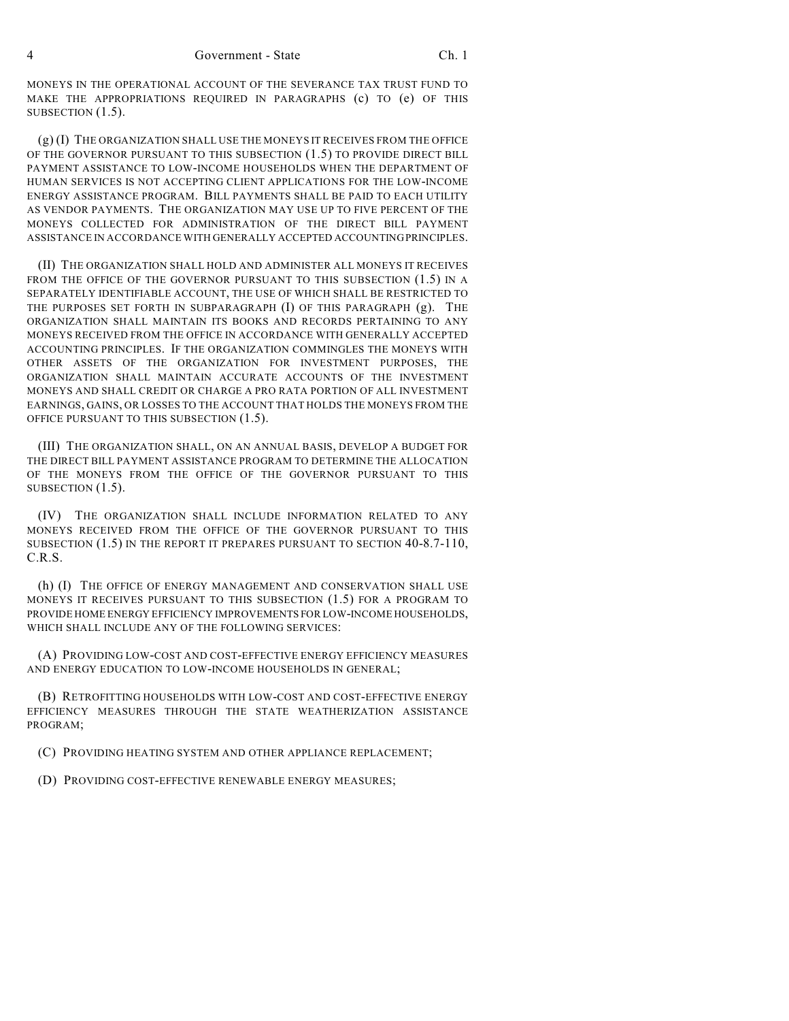MONEYS IN THE OPERATIONAL ACCOUNT OF THE SEVERANCE TAX TRUST FUND TO MAKE THE APPROPRIATIONS REQUIRED IN PARAGRAPHS (c) TO (e) OF THIS SUBSECTION  $(1.5)$ .

(g) (I) THE ORGANIZATION SHALL USE THE MONEYS IT RECEIVES FROM THE OFFICE OF THE GOVERNOR PURSUANT TO THIS SUBSECTION (1.5) TO PROVIDE DIRECT BILL PAYMENT ASSISTANCE TO LOW-INCOME HOUSEHOLDS WHEN THE DEPARTMENT OF HUMAN SERVICES IS NOT ACCEPTING CLIENT APPLICATIONS FOR THE LOW-INCOME ENERGY ASSISTANCE PROGRAM. BILL PAYMENTS SHALL BE PAID TO EACH UTILITY AS VENDOR PAYMENTS. THE ORGANIZATION MAY USE UP TO FIVE PERCENT OF THE MONEYS COLLECTED FOR ADMINISTRATION OF THE DIRECT BILL PAYMENT ASSISTANCE IN ACCORDANCE WITH GENERALLY ACCEPTED ACCOUNTING PRINCIPLES.

(II) THE ORGANIZATION SHALL HOLD AND ADMINISTER ALL MONEYS IT RECEIVES FROM THE OFFICE OF THE GOVERNOR PURSUANT TO THIS SUBSECTION (1.5) IN A SEPARATELY IDENTIFIABLE ACCOUNT, THE USE OF WHICH SHALL BE RESTRICTED TO THE PURPOSES SET FORTH IN SUBPARAGRAPH (I) OF THIS PARAGRAPH (g). THE ORGANIZATION SHALL MAINTAIN ITS BOOKS AND RECORDS PERTAINING TO ANY MONEYS RECEIVED FROM THE OFFICE IN ACCORDANCE WITH GENERALLY ACCEPTED ACCOUNTING PRINCIPLES. IF THE ORGANIZATION COMMINGLES THE MONEYS WITH OTHER ASSETS OF THE ORGANIZATION FOR INVESTMENT PURPOSES, THE ORGANIZATION SHALL MAINTAIN ACCURATE ACCOUNTS OF THE INVESTMENT MONEYS AND SHALL CREDIT OR CHARGE A PRO RATA PORTION OF ALL INVESTMENT EARNINGS, GAINS, OR LOSSES TO THE ACCOUNT THAT HOLDS THE MONEYS FROM THE OFFICE PURSUANT TO THIS SUBSECTION (1.5).

(III) THE ORGANIZATION SHALL, ON AN ANNUAL BASIS, DEVELOP A BUDGET FOR THE DIRECT BILL PAYMENT ASSISTANCE PROGRAM TO DETERMINE THE ALLOCATION OF THE MONEYS FROM THE OFFICE OF THE GOVERNOR PURSUANT TO THIS SUBSECTION  $(1.5)$ .

(IV) THE ORGANIZATION SHALL INCLUDE INFORMATION RELATED TO ANY MONEYS RECEIVED FROM THE OFFICE OF THE GOVERNOR PURSUANT TO THIS SUBSECTION (1.5) IN THE REPORT IT PREPARES PURSUANT TO SECTION 40-8.7-110, C.R.S.

(h) (I) THE OFFICE OF ENERGY MANAGEMENT AND CONSERVATION SHALL USE MONEYS IT RECEIVES PURSUANT TO THIS SUBSECTION (1.5) FOR A PROGRAM TO PROVIDE HOME ENERGY EFFICIENCY IMPROVEMENTS FOR LOW-INCOME HOUSEHOLDS, WHICH SHALL INCLUDE ANY OF THE FOLLOWING SERVICES:

(A) PROVIDING LOW-COST AND COST-EFFECTIVE ENERGY EFFICIENCY MEASURES AND ENERGY EDUCATION TO LOW-INCOME HOUSEHOLDS IN GENERAL;

(B) RETROFITTING HOUSEHOLDS WITH LOW-COST AND COST-EFFECTIVE ENERGY EFFICIENCY MEASURES THROUGH THE STATE WEATHERIZATION ASSISTANCE PROGRAM;

(C) PROVIDING HEATING SYSTEM AND OTHER APPLIANCE REPLACEMENT;

(D) PROVIDING COST-EFFECTIVE RENEWABLE ENERGY MEASURES;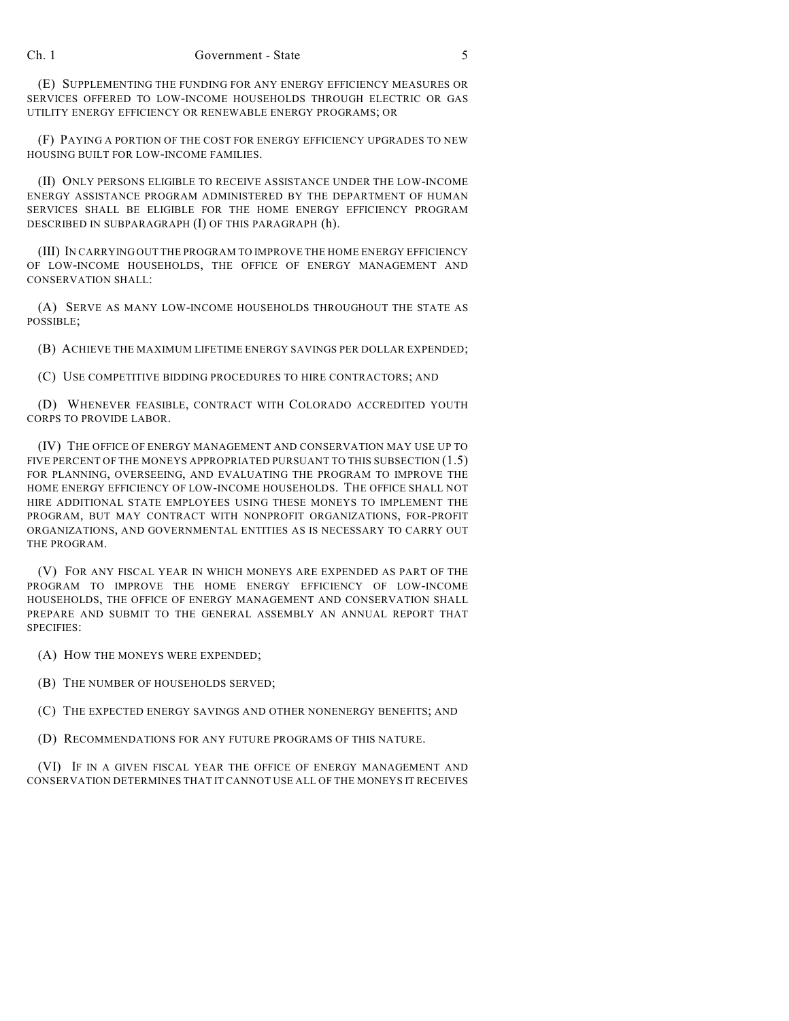(E) SUPPLEMENTING THE FUNDING FOR ANY ENERGY EFFICIENCY MEASURES OR SERVICES OFFERED TO LOW-INCOME HOUSEHOLDS THROUGH ELECTRIC OR GAS UTILITY ENERGY EFFICIENCY OR RENEWABLE ENERGY PROGRAMS; OR

(F) PAYING A PORTION OF THE COST FOR ENERGY EFFICIENCY UPGRADES TO NEW HOUSING BUILT FOR LOW-INCOME FAMILIES.

(II) ONLY PERSONS ELIGIBLE TO RECEIVE ASSISTANCE UNDER THE LOW-INCOME ENERGY ASSISTANCE PROGRAM ADMINISTERED BY THE DEPARTMENT OF HUMAN SERVICES SHALL BE ELIGIBLE FOR THE HOME ENERGY EFFICIENCY PROGRAM DESCRIBED IN SUBPARAGRAPH (I) OF THIS PARAGRAPH (h).

(III) IN CARRYING OUT THE PROGRAM TO IMPROVE THE HOME ENERGY EFFICIENCY OF LOW-INCOME HOUSEHOLDS, THE OFFICE OF ENERGY MANAGEMENT AND CONSERVATION SHALL:

(A) SERVE AS MANY LOW-INCOME HOUSEHOLDS THROUGHOUT THE STATE AS POSSIBLE;

(B) ACHIEVE THE MAXIMUM LIFETIME ENERGY SAVINGS PER DOLLAR EXPENDED;

(C) USE COMPETITIVE BIDDING PROCEDURES TO HIRE CONTRACTORS; AND

(D) WHENEVER FEASIBLE, CONTRACT WITH COLORADO ACCREDITED YOUTH CORPS TO PROVIDE LABOR.

(IV) THE OFFICE OF ENERGY MANAGEMENT AND CONSERVATION MAY USE UP TO FIVE PERCENT OF THE MONEYS APPROPRIATED PURSUANT TO THIS SUBSECTION (1.5) FOR PLANNING, OVERSEEING, AND EVALUATING THE PROGRAM TO IMPROVE THE HOME ENERGY EFFICIENCY OF LOW-INCOME HOUSEHOLDS. THE OFFICE SHALL NOT HIRE ADDITIONAL STATE EMPLOYEES USING THESE MONEYS TO IMPLEMENT THE PROGRAM, BUT MAY CONTRACT WITH NONPROFIT ORGANIZATIONS, FOR-PROFIT ORGANIZATIONS, AND GOVERNMENTAL ENTITIES AS IS NECESSARY TO CARRY OUT THE PROGRAM.

(V) FOR ANY FISCAL YEAR IN WHICH MONEYS ARE EXPENDED AS PART OF THE PROGRAM TO IMPROVE THE HOME ENERGY EFFICIENCY OF LOW-INCOME HOUSEHOLDS, THE OFFICE OF ENERGY MANAGEMENT AND CONSERVATION SHALL PREPARE AND SUBMIT TO THE GENERAL ASSEMBLY AN ANNUAL REPORT THAT SPECIFIES:

(A) HOW THE MONEYS WERE EXPENDED;

(B) THE NUMBER OF HOUSEHOLDS SERVED;

(C) THE EXPECTED ENERGY SAVINGS AND OTHER NONENERGY BENEFITS; AND

(D) RECOMMENDATIONS FOR ANY FUTURE PROGRAMS OF THIS NATURE.

(VI) IF IN A GIVEN FISCAL YEAR THE OFFICE OF ENERGY MANAGEMENT AND CONSERVATION DETERMINES THAT IT CANNOT USE ALL OF THE MONEYS IT RECEIVES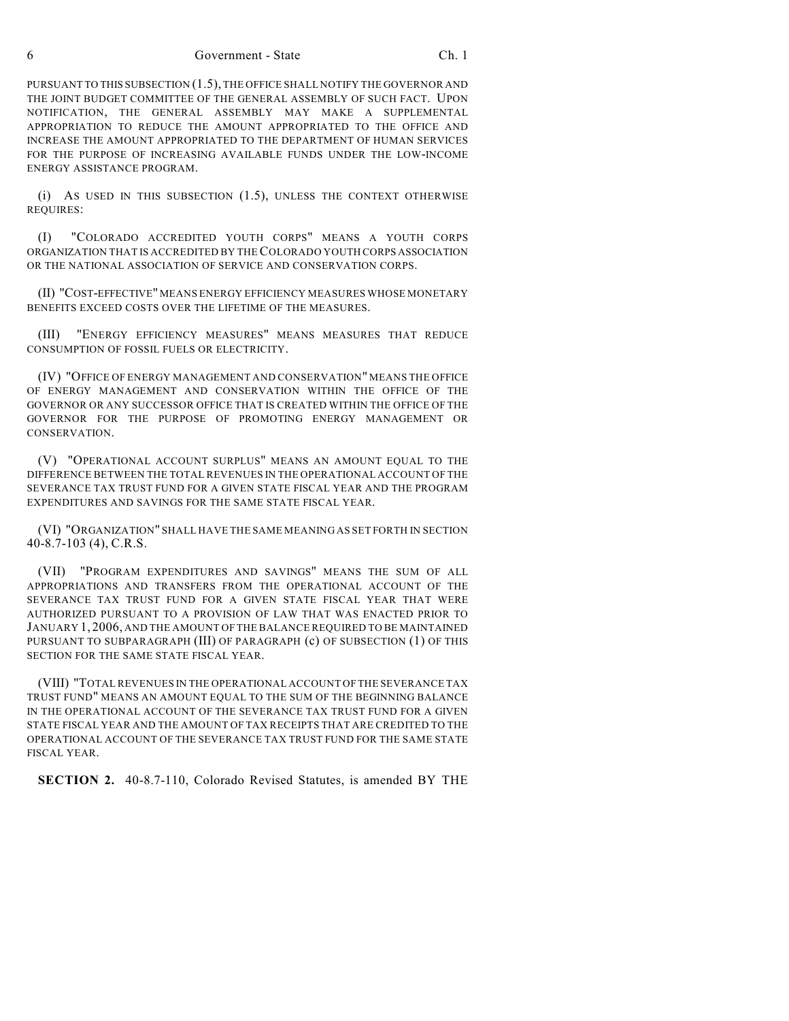6 Government - State Ch. 1

PURSUANT TO THIS SUBSECTION (1.5), THE OFFICE SHALL NOTIFY THE GOVERNOR AND THE JOINT BUDGET COMMITTEE OF THE GENERAL ASSEMBLY OF SUCH FACT. UPON NOTIFICATION, THE GENERAL ASSEMBLY MAY MAKE A SUPPLEMENTAL APPROPRIATION TO REDUCE THE AMOUNT APPROPRIATED TO THE OFFICE AND INCREASE THE AMOUNT APPROPRIATED TO THE DEPARTMENT OF HUMAN SERVICES FOR THE PURPOSE OF INCREASING AVAILABLE FUNDS UNDER THE LOW-INCOME ENERGY ASSISTANCE PROGRAM.

(i) AS USED IN THIS SUBSECTION (1.5), UNLESS THE CONTEXT OTHERWISE REQUIRES:

(I) "COLORADO ACCREDITED YOUTH CORPS" MEANS A YOUTH CORPS ORGANIZATION THAT IS ACCREDITED BY THE COLORADO YOUTH CORPS ASSOCIATION OR THE NATIONAL ASSOCIATION OF SERVICE AND CONSERVATION CORPS.

(II) "COST-EFFECTIVE" MEANS ENERGY EFFICIENCY MEASURES WHOSE MONETARY BENEFITS EXCEED COSTS OVER THE LIFETIME OF THE MEASURES.

(III) "ENERGY EFFICIENCY MEASURES" MEANS MEASURES THAT REDUCE CONSUMPTION OF FOSSIL FUELS OR ELECTRICITY.

(IV) "OFFICE OF ENERGY MANAGEMENT AND CONSERVATION" MEANS THE OFFICE OF ENERGY MANAGEMENT AND CONSERVATION WITHIN THE OFFICE OF THE GOVERNOR OR ANY SUCCESSOR OFFICE THAT IS CREATED WITHIN THE OFFICE OF THE GOVERNOR FOR THE PURPOSE OF PROMOTING ENERGY MANAGEMENT OR CONSERVATION.

(V) "OPERATIONAL ACCOUNT SURPLUS" MEANS AN AMOUNT EQUAL TO THE DIFFERENCE BETWEEN THE TOTAL REVENUES IN THE OPERATIONAL ACCOUNT OF THE SEVERANCE TAX TRUST FUND FOR A GIVEN STATE FISCAL YEAR AND THE PROGRAM EXPENDITURES AND SAVINGS FOR THE SAME STATE FISCAL YEAR.

(VI) "ORGANIZATION" SHALL HAVE THE SAME MEANING AS SET FORTH IN SECTION 40-8.7-103 (4), C.R.S.

(VII) "PROGRAM EXPENDITURES AND SAVINGS" MEANS THE SUM OF ALL APPROPRIATIONS AND TRANSFERS FROM THE OPERATIONAL ACCOUNT OF THE SEVERANCE TAX TRUST FUND FOR A GIVEN STATE FISCAL YEAR THAT WERE AUTHORIZED PURSUANT TO A PROVISION OF LAW THAT WAS ENACTED PRIOR TO JANUARY 1, 2006, AND THE AMOUNT OF THE BALANCE REQUIRED TO BE MAINTAINED PURSUANT TO SUBPARAGRAPH (III) OF PARAGRAPH (c) OF SUBSECTION (1) OF THIS SECTION FOR THE SAME STATE FISCAL YEAR.

(VIII) "TOTAL REVENUES IN THE OPERATIONAL ACCOUNT OF THE SEVERANCE TAX TRUST FUND" MEANS AN AMOUNT EQUAL TO THE SUM OF THE BEGINNING BALANCE IN THE OPERATIONAL ACCOUNT OF THE SEVERANCE TAX TRUST FUND FOR A GIVEN STATE FISCAL YEAR AND THE AMOUNT OF TAX RECEIPTS THAT ARE CREDITED TO THE OPERATIONAL ACCOUNT OF THE SEVERANCE TAX TRUST FUND FOR THE SAME STATE FISCAL YEAR.

**SECTION 2.** 40-8.7-110, Colorado Revised Statutes, is amended BY THE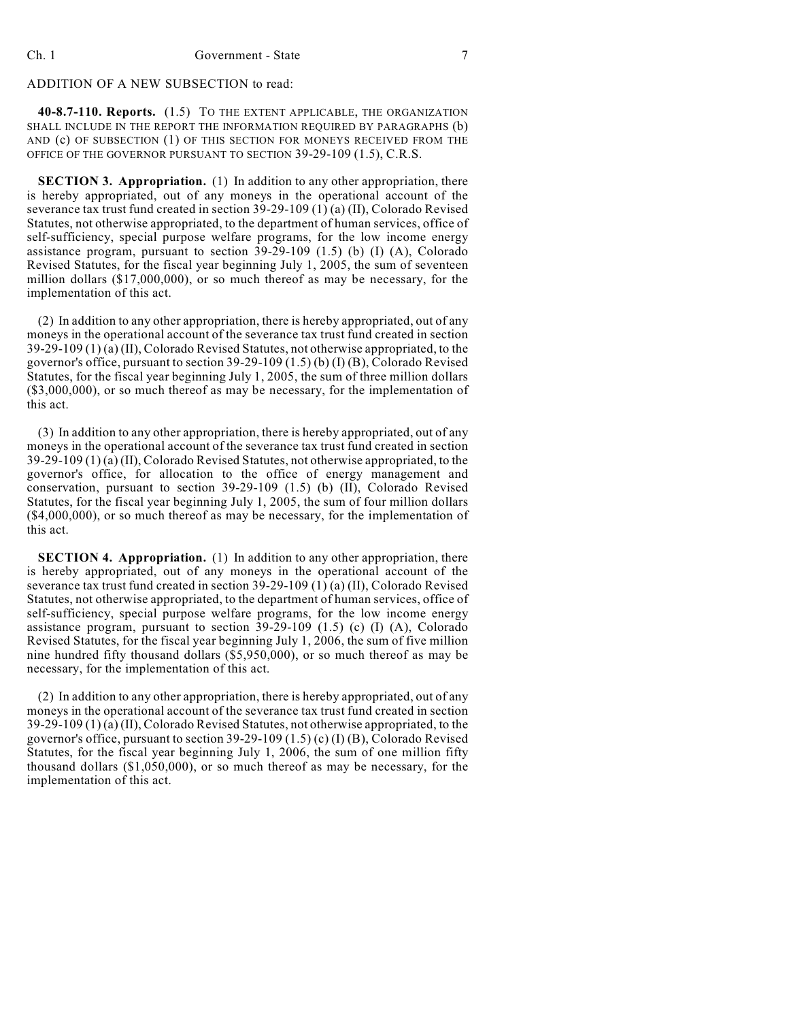## ADDITION OF A NEW SUBSECTION to read:

**40-8.7-110. Reports.** (1.5) TO THE EXTENT APPLICABLE, THE ORGANIZATION SHALL INCLUDE IN THE REPORT THE INFORMATION REQUIRED BY PARAGRAPHS (b) AND (c) OF SUBSECTION (1) OF THIS SECTION FOR MONEYS RECEIVED FROM THE OFFICE OF THE GOVERNOR PURSUANT TO SECTION 39-29-109 (1.5), C.R.S.

**SECTION 3. Appropriation.** (1) In addition to any other appropriation, there is hereby appropriated, out of any moneys in the operational account of the severance tax trust fund created in section 39-29-109 (1) (a) (II), Colorado Revised Statutes, not otherwise appropriated, to the department of human services, office of self-sufficiency, special purpose welfare programs, for the low income energy assistance program, pursuant to section  $39-29-109$  (1.5) (b) (I) (A), Colorado Revised Statutes, for the fiscal year beginning July 1, 2005, the sum of seventeen million dollars (\$17,000,000), or so much thereof as may be necessary, for the implementation of this act.

(2) In addition to any other appropriation, there is hereby appropriated, out of any moneys in the operational account of the severance tax trust fund created in section 39-29-109 (1) (a) (II), Colorado Revised Statutes, not otherwise appropriated, to the governor's office, pursuant to section 39-29-109 (1.5) (b) (I) (B), Colorado Revised Statutes, for the fiscal year beginning July 1, 2005, the sum of three million dollars (\$3,000,000), or so much thereof as may be necessary, for the implementation of this act.

(3) In addition to any other appropriation, there is hereby appropriated, out of any moneys in the operational account of the severance tax trust fund created in section  $39-29-109(1)(a)$  (II), Colorado Revised Statutes, not otherwise appropriated, to the governor's office, for allocation to the office of energy management and conservation, pursuant to section 39-29-109 (1.5) (b) (II), Colorado Revised Statutes, for the fiscal year beginning July 1, 2005, the sum of four million dollars (\$4,000,000), or so much thereof as may be necessary, for the implementation of this act.

**SECTION 4. Appropriation.** (1) In addition to any other appropriation, there is hereby appropriated, out of any moneys in the operational account of the severance tax trust fund created in section 39-29-109 (1) (a) (II), Colorado Revised Statutes, not otherwise appropriated, to the department of human services, office of self-sufficiency, special purpose welfare programs, for the low income energy assistance program, pursuant to section 39-29-109 (1.5) (c) (I) (A), Colorado Revised Statutes, for the fiscal year beginning July 1, 2006, the sum of five million nine hundred fifty thousand dollars (\$5,950,000), or so much thereof as may be necessary, for the implementation of this act.

(2) In addition to any other appropriation, there is hereby appropriated, out of any moneys in the operational account of the severance tax trust fund created in section 39-29-109 (1) (a) (II), Colorado Revised Statutes, not otherwise appropriated, to the governor's office, pursuant to section 39-29-109 (1.5) (c) (I) (B), Colorado Revised Statutes, for the fiscal year beginning July 1, 2006, the sum of one million fifty thousand dollars (\$1,050,000), or so much thereof as may be necessary, for the implementation of this act.